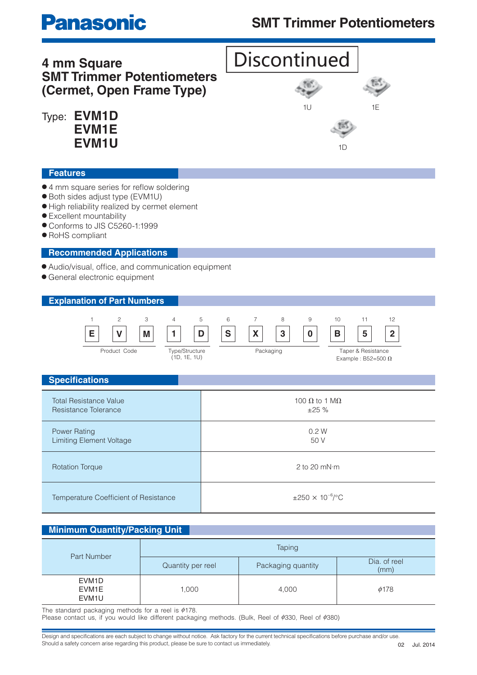## **SMT Trimmer Potentiometers**

**Discontinued** 

# **Panasonic**

### **4 mm Square SMT Trimmer Potentiometers (Cermet, Open Frame Type)**

Type: **EVM1D EVM1E EVM1U**

#### **Features**

- 4 mm square series for reflow soldering
- Both sides adjust type (EVM1U)
- High reliability realized by cermet element
- Excellent mountability
- Conforms to JIS C5260-1:1999
- RoHS compliant

#### **Recommended Applications**

- $\bullet$  Audio/visual, office, and communication equipment
- General electronic equipment

#### **Explanation of Part Numbers**



| <b>Specifications</b>                                  |                                      |  |  |  |
|--------------------------------------------------------|--------------------------------------|--|--|--|
| <b>Total Resistance Value</b><br>Resistance Tolerance  | 100 $\Omega$ to 1 M $\Omega$<br>±25% |  |  |  |
| <b>Power Rating</b><br><b>Limiting Element Voltage</b> | 0.2 W<br>50 V                        |  |  |  |
| <b>Rotation Torque</b>                                 | 2 to 20 $mN·m$                       |  |  |  |
| Temperature Coefficient of Resistance                  | $\pm 250 \times 10^{-6}$ /°C         |  |  |  |

#### **Minimum Quantity/Packing Unit**

| Part Number                                                    | Taping            |                    |                      |  |
|----------------------------------------------------------------|-------------------|--------------------|----------------------|--|
|                                                                | Quantity per reel | Packaging quantity | Dia. of reel<br>(mm) |  |
| EVM <sub>1</sub> D<br>EVM <sub>1</sub> E<br>EVM <sub>1</sub> U | 1,000             | 4,000              | $\phi$ 178           |  |

EVALUA **EVALUA ISLAMINA INCORDING THE STANDARY TO A THE STANDARY STANDARY STANDARY STANDARY STANDARY STANDARY STANDARY STANDARY STANDARY STANDARY STANDARY STANDARY STANDARY STANDARY STANDARY STANDARY STANDARY STANDARY STAN** 

Please contact us, if you would like different packaging methods. (Bulk, Reel of ¢330, Reel of ¢380)

Design and specifications are each subject to change without notice. Ask factory for the current technical specifications before purchase and/or use. Should a safety concern arise regarding this product, please be sure to contact us immediately.

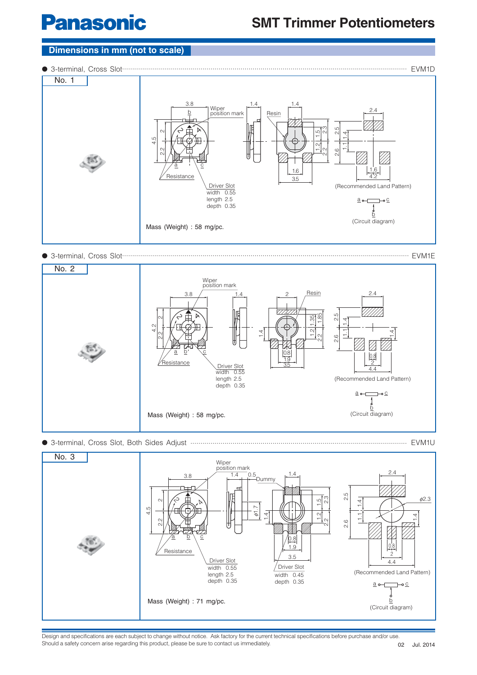# **Panasonic**

## **SMT Trimmer Potentiometers**

#### **Dimensions in mm (not to scale)**

● 3-terminal, Cross Slot.............................................................................................................................................. EVM1D



● 3-terminal, Cross Slot............................................................................................................................................... EVM1E







Design and specifications are each subject to change without notice. Ask factory for the current technical specifications before purchase and/or use. Should a safety concern arise regarding this product, please be sure to contact us immediately.